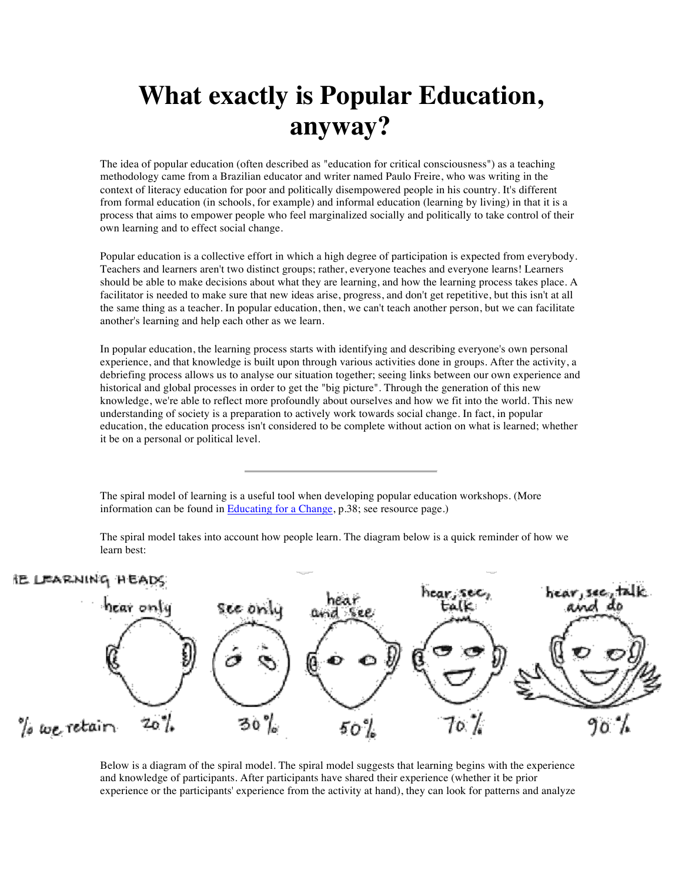## **What exactly is Popular Education, anyway?**

The idea of popular education (often described as "education for critical consciousness") as a teaching methodology came from a Brazilian educator and writer named Paulo Freire, who was writing in the context of literacy education for poor and politically disempowered people in his country. It's different from formal education (in schools, for example) and informal education (learning by living) in that it is a process that aims to empower people who feel marginalized socially and politically to take control of their own learning and to effect social change.

Popular education is a collective effort in which a high degree of participation is expected from everybody. Teachers and learners aren't two distinct groups; rather, everyone teaches and everyone learns! Learners should be able to make decisions about what they are learning, and how the learning process takes place. A facilitator is needed to make sure that new ideas arise, progress, and don't get repetitive, but this isn't at all the same thing as a teacher. In popular education, then, we can't teach another person, but we can facilitate another's learning and help each other as we learn.

In popular education, the learning process starts with identifying and describing everyone's own personal experience, and that knowledge is built upon through various activities done in groups. After the activity, a debriefing process allows us to analyse our situation together; seeing links between our own experience and historical and global processes in order to get the "big picture". Through the generation of this new knowledge, we're able to reflect more profoundly about ourselves and how we fit into the world. This new understanding of society is a preparation to actively work towards social change. In fact, in popular education, the education process isn't considered to be complete without action on what is learned; whether it be on a personal or political level.

The spiral model of learning is a useful tool when developing popular education workshops. (More information can be found in Educating for a Change, p.38; see resource page.)

The spiral model takes into account how people learn. The diagram below is a quick reminder of how we learn best:

## IE LEARNING HEADS



Below is a diagram of the spiral model. The spiral model suggests that learning begins with the experience and knowledge of participants. After participants have shared their experience (whether it be prior experience or the participants' experience from the activity at hand), they can look for patterns and analyze